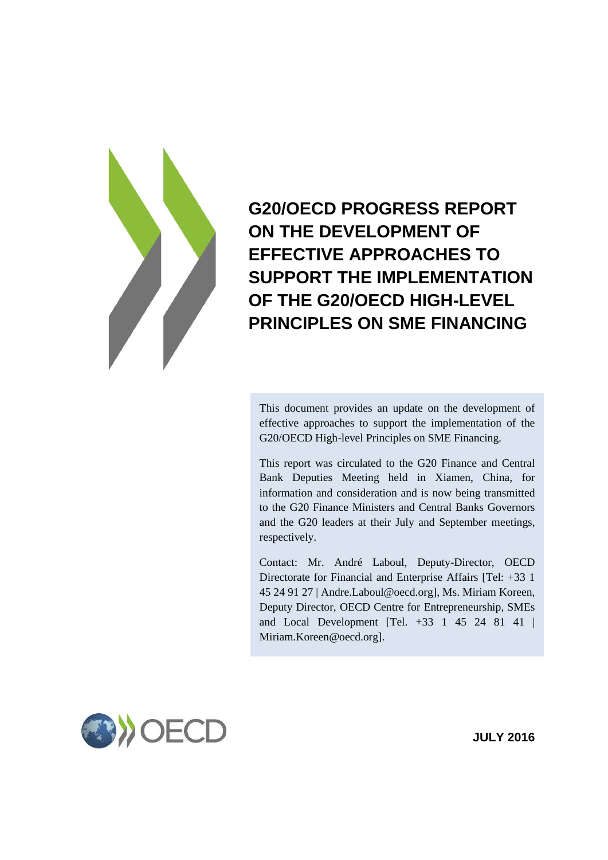

**G20/OECD PROGRESS REPORT ON THE DEVELOPMENT OF EFFECTIVE APPROACHES TO SUPPORT THE IMPLEMENTATION OF THE G20/OECD HIGH-LEVEL PRINCIPLES ON SME FINANCING**

This document provides an update on the development of effective approaches to support the implementation of the G20/OECD High-level Principles on SME Financing.

This report was circulated to the G20 Finance and Central Bank Deputies Meeting held in Xiamen, China, for information and consideration and is now being transmitted to the G20 Finance Ministers and Central Banks Governors and the G20 leaders at their July and September meetings, respectively.

Contact: Mr. André Laboul, Deputy-Director, OECD Directorate for Financial and Enterprise Affairs [Tel: +33 1 45 24 91 27 | Andre.Laboul@oecd.org], Ms. Miriam Koreen, Deputy Director, OECD Centre for Entrepreneurship, SMEs and Local Development [Tel. +33 1 45 24 81 41 | Miriam.Koreen@oecd.org].



**JULY 2016**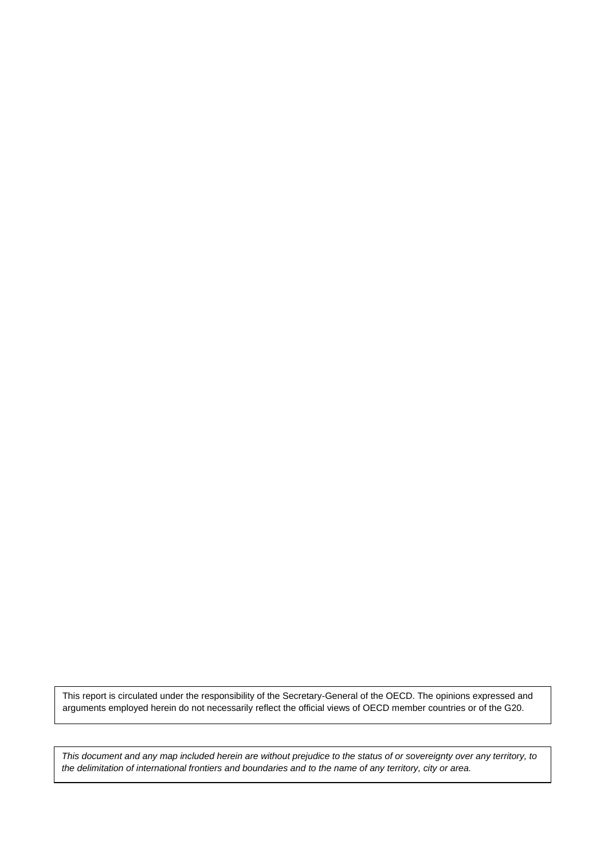This report is circulated under the responsibility of the Secretary-General of the OECD. The opinions expressed and arguments employed herein do not necessarily reflect the official views of OECD member countries or of the G20.

2 *This document and any map included herein are without prejudice to the status of or sovereignty over any territory, to the delimitation of international frontiers and boundaries and to the name of any territory, city or area.*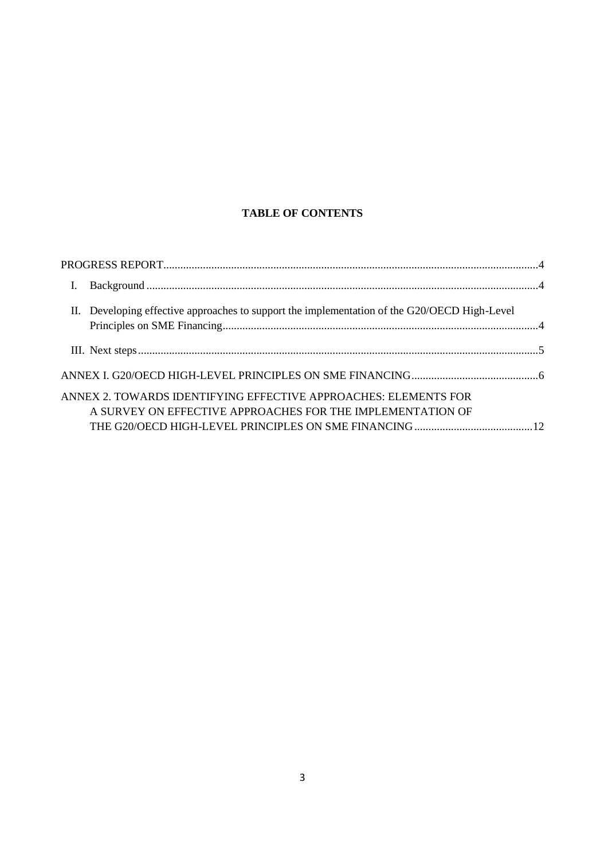# **TABLE OF CONTENTS**

| L |                                                                                                                               |  |
|---|-------------------------------------------------------------------------------------------------------------------------------|--|
|   | II. Developing effective approaches to support the implementation of the G20/OECD High-Level                                  |  |
|   |                                                                                                                               |  |
|   |                                                                                                                               |  |
|   | ANNEX 2. TOWARDS IDENTIFYING EFFECTIVE APPROACHES: ELEMENTS FOR<br>A SURVEY ON EFFECTIVE APPROACHES FOR THE IMPLEMENTATION OF |  |
|   |                                                                                                                               |  |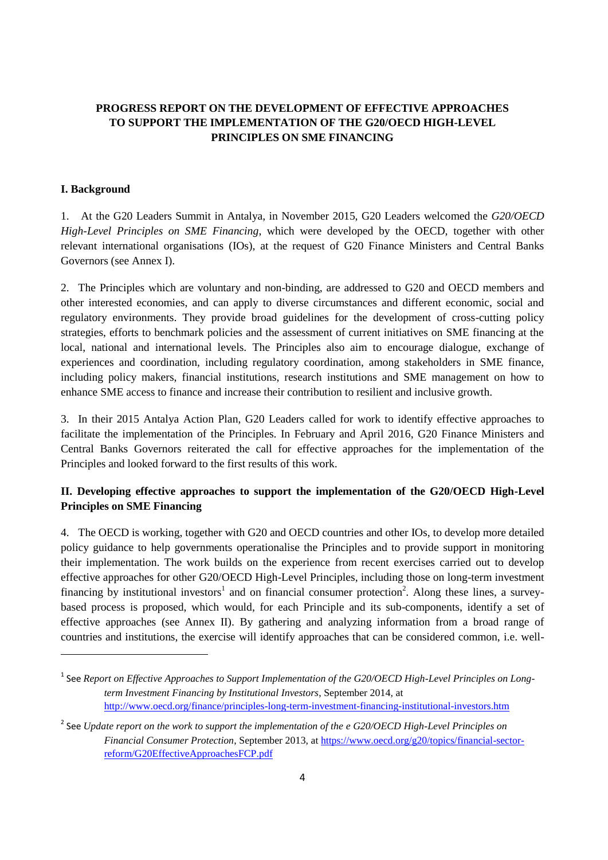# <span id="page-3-0"></span>**PROGRESS REPORT ON THE DEVELOPMENT OF EFFECTIVE APPROACHES TO SUPPORT THE IMPLEMENTATION OF THE G20/OECD HIGH-LEVEL PRINCIPLES ON SME FINANCING**

### <span id="page-3-1"></span>**I. Background**

 $\overline{a}$ 

1. At the G20 Leaders Summit in Antalya, in November 2015, G20 Leaders welcomed the *G20/OECD High-Level Principles on SME Financing*, which were developed by the OECD, together with other relevant international organisations (IOs), at the request of G20 Finance Ministers and Central Banks Governors (see Annex I).

2. The Principles which are voluntary and non-binding, are addressed to G20 and OECD members and other interested economies, and can apply to diverse circumstances and different economic, social and regulatory environments. They provide broad guidelines for the development of cross-cutting policy strategies, efforts to benchmark policies and the assessment of current initiatives on SME financing at the local, national and international levels. The Principles also aim to encourage dialogue, exchange of experiences and coordination, including regulatory coordination, among stakeholders in SME finance, including policy makers, financial institutions, research institutions and SME management on how to enhance SME access to finance and increase their contribution to resilient and inclusive growth.

3. In their 2015 Antalya Action Plan, G20 Leaders called for work to identify effective approaches to facilitate the implementation of the Principles. In February and April 2016, G20 Finance Ministers and Central Banks Governors reiterated the call for effective approaches for the implementation of the Principles and looked forward to the first results of this work.

# <span id="page-3-2"></span>**II. Developing effective approaches to support the implementation of the G20/OECD High-Level Principles on SME Financing**

4. The OECD is working, together with G20 and OECD countries and other IOs, to develop more detailed policy guidance to help governments operationalise the Principles and to provide support in monitoring their implementation. The work builds on the experience from recent exercises carried out to develop effective approaches for other G20/OECD High-Level Principles, including those on long-term investment financing by institutional investors<sup>1</sup> and on financial consumer protection<sup>2</sup>. Along these lines, a surveybased process is proposed, which would, for each Principle and its sub-components, identify a set of effective approaches (see Annex II). By gathering and analyzing information from a broad range of countries and institutions, the exercise will identify approaches that can be considered common, i.e. well-

<sup>&</sup>lt;sup>1</sup> See *Report on Effective Approaches to Support Implementation of the G20/OECD High-Level Principles on Longterm Investment Financing by Institutional Investors*, September 2014, at <http://www.oecd.org/finance/principles-long-term-investment-financing-institutional-investors.htm>

<sup>2</sup> See *Update report on the work to support the implementation of the e G20/OECD High-Level Principles on Financial Consumer Protection*, September 2013, at [https://www.oecd.org/g20/topics/financial-sector](https://www.oecd.org/g20/topics/financial-sector-reform/G20EffectiveApproachesFCP.pdf)[reform/G20EffectiveApproachesFCP.pdf](https://www.oecd.org/g20/topics/financial-sector-reform/G20EffectiveApproachesFCP.pdf)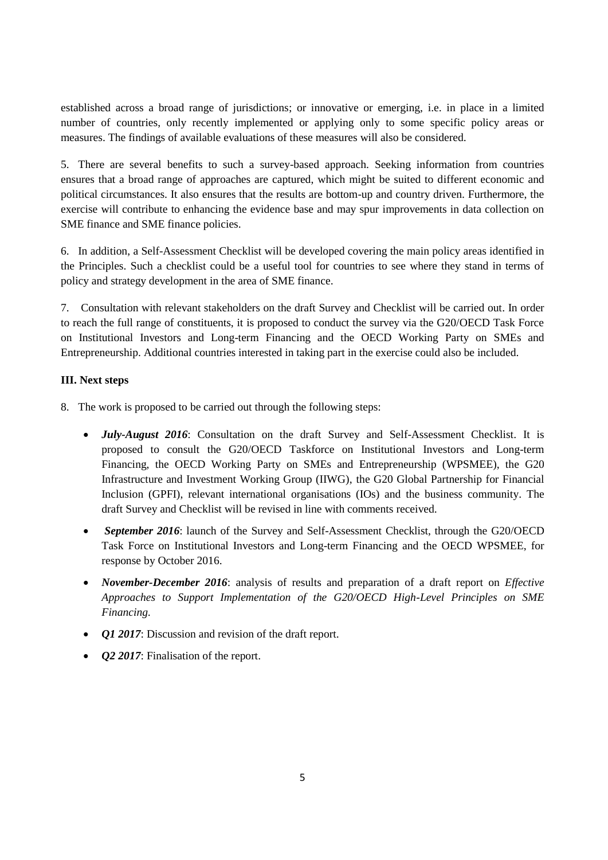established across a broad range of jurisdictions; or innovative or emerging, i.e. in place in a limited number of countries, only recently implemented or applying only to some specific policy areas or measures. The findings of available evaluations of these measures will also be considered.

5. There are several benefits to such a survey-based approach. Seeking information from countries ensures that a broad range of approaches are captured, which might be suited to different economic and political circumstances. It also ensures that the results are bottom-up and country driven. Furthermore, the exercise will contribute to enhancing the evidence base and may spur improvements in data collection on SME finance and SME finance policies.

6. In addition, a Self-Assessment Checklist will be developed covering the main policy areas identified in the Principles. Such a checklist could be a useful tool for countries to see where they stand in terms of policy and strategy development in the area of SME finance.

7. Consultation with relevant stakeholders on the draft Survey and Checklist will be carried out. In order to reach the full range of constituents, it is proposed to conduct the survey via the G20/OECD Task Force on Institutional Investors and Long-term Financing and the OECD Working Party on SMEs and Entrepreneurship. Additional countries interested in taking part in the exercise could also be included.

## <span id="page-4-0"></span>**III. Next steps**

- 8. The work is proposed to be carried out through the following steps:
	- *July-August 2016*: Consultation on the draft Survey and Self-Assessment Checklist. It is proposed to consult the G20/OECD Taskforce on Institutional Investors and Long-term Financing, the OECD Working Party on SMEs and Entrepreneurship (WPSMEE), the G20 Infrastructure and Investment Working Group (IIWG), the G20 Global Partnership for Financial Inclusion (GPFI), relevant international organisations (IOs) and the business community. The draft Survey and Checklist will be revised in line with comments received.
	- *September 2016*: launch of the Survey and Self-Assessment Checklist, through the G20/OECD Task Force on Institutional Investors and Long-term Financing and the OECD WPSMEE, for response by October 2016.
	- *November-December 2016*: analysis of results and preparation of a draft report on *Effective Approaches to Support Implementation of the G20/OECD High-Level Principles on SME Financing.*
	- *Q1 2017*: Discussion and revision of the draft report.
	- *Q2 2017*: Finalisation of the report.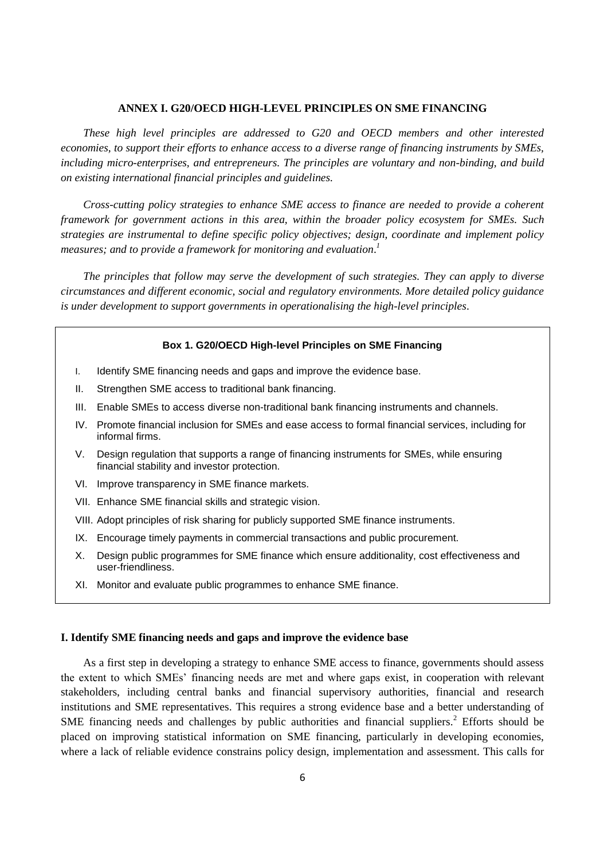### **ANNEX I. G20/OECD HIGH-LEVEL PRINCIPLES ON SME FINANCING**

<span id="page-5-0"></span>*These high level principles are addressed to G20 and OECD members and other interested economies, to support their efforts to enhance access to a diverse range of financing instruments by SMEs, including micro-enterprises, and entrepreneurs. The principles are voluntary and non-binding, and build on existing international financial principles and guidelines.* 

*Cross-cutting policy strategies to enhance SME access to finance are needed to provide a coherent framework for government actions in this area, within the broader policy ecosystem for SMEs. Such strategies are instrumental to define specific policy objectives; design, coordinate and implement policy measures; and to provide a framework for monitoring and evaluation*. *1*

*The principles that follow may serve the development of such strategies. They can apply to diverse circumstances and different economic, social and regulatory environments. More detailed policy guidance is under development to support governments in operationalising the high-level principles*.

### **Box 1. G20/OECD High-level Principles on SME Financing**

- I. Identify SME financing needs and gaps and improve the evidence base.
- II. Strengthen SME access to traditional bank financing.
- III. Enable SMEs to access diverse non-traditional bank financing instruments and channels.
- IV. Promote financial inclusion for SMEs and ease access to formal financial services, including for informal firms.
- V. Design regulation that supports a range of financing instruments for SMEs, while ensuring financial stability and investor protection.
- VI. Improve transparency in SME finance markets.
- VII. Enhance SME financial skills and strategic vision.
- VIII. Adopt principles of risk sharing for publicly supported SME finance instruments.
- IX. Encourage timely payments in commercial transactions and public procurement.
- X. Design public programmes for SME finance which ensure additionality, cost effectiveness and user-friendliness.
- XI. Monitor and evaluate public programmes to enhance SME finance.

#### **I. Identify SME financing needs and gaps and improve the evidence base**

As a first step in developing a strategy to enhance SME access to finance, governments should assess the extent to which SMEs' financing needs are met and where gaps exist, in cooperation with relevant stakeholders, including central banks and financial supervisory authorities, financial and research institutions and SME representatives. This requires a strong evidence base and a better understanding of SME financing needs and challenges by public authorities and financial suppliers.<sup>2</sup> Efforts should be placed on improving statistical information on SME financing, particularly in developing economies, where a lack of reliable evidence constrains policy design, implementation and assessment. This calls for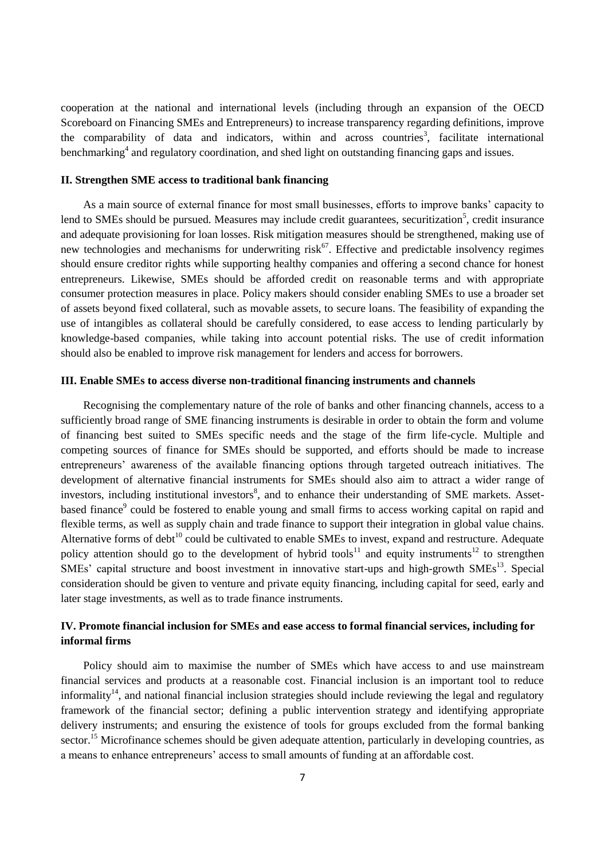cooperation at the national and international levels (including through an expansion of the OECD Scoreboard on Financing SMEs and Entrepreneurs) to increase transparency regarding definitions, improve the comparability of data and indicators, within and across countries<sup>3</sup>, facilitate international benchmarking<sup>4</sup> and regulatory coordination, and shed light on outstanding financing gaps and issues.

#### **II. Strengthen SME access to traditional bank financing**

As a main source of external finance for most small businesses, efforts to improve banks' capacity to lend to SMEs should be pursued. Measures may include credit guarantees, securitization<sup>5</sup>, credit insurance and adequate provisioning for loan losses. Risk mitigation measures should be strengthened, making use of new technologies and mechanisms for underwriting  $risk^{67}$ . Effective and predictable insolvency regimes should ensure creditor rights while supporting healthy companies and offering a second chance for honest entrepreneurs. Likewise, SMEs should be afforded credit on reasonable terms and with appropriate consumer protection measures in place. Policy makers should consider enabling SMEs to use a broader set of assets beyond fixed collateral, such as movable assets, to secure loans. The feasibility of expanding the use of intangibles as collateral should be carefully considered, to ease access to lending particularly by knowledge-based companies, while taking into account potential risks. The use of credit information should also be enabled to improve risk management for lenders and access for borrowers.

#### **III. Enable SMEs to access diverse non-traditional financing instruments and channels**

Recognising the complementary nature of the role of banks and other financing channels, access to a sufficiently broad range of SME financing instruments is desirable in order to obtain the form and volume of financing best suited to SMEs specific needs and the stage of the firm life-cycle. Multiple and competing sources of finance for SMEs should be supported, and efforts should be made to increase entrepreneurs' awareness of the available financing options through targeted outreach initiatives. The development of alternative financial instruments for SMEs should also aim to attract a wider range of investors, including institutional investors<sup>8</sup>, and to enhance their understanding of SME markets. Assetbased finance<sup>9</sup> could be fostered to enable young and small firms to access working capital on rapid and flexible terms, as well as supply chain and trade finance to support their integration in global value chains. Alternative forms of debt<sup>10</sup> could be cultivated to enable SMEs to invest, expand and restructure. Adequate policy attention should go to the development of hybrid tools<sup>11</sup> and equity instruments<sup>12</sup> to strengthen SMEs' capital structure and boost investment in innovative start-ups and high-growth SMEs<sup>13</sup>. Special consideration should be given to venture and private equity financing, including capital for seed, early and later stage investments, as well as to trade finance instruments.

# **IV. Promote financial inclusion for SMEs and ease access to formal financial services, including for informal firms**

Policy should aim to maximise the number of SMEs which have access to and use mainstream financial services and products at a reasonable cost. Financial inclusion is an important tool to reduce informality<sup>14</sup>, and national financial inclusion strategies should include reviewing the legal and regulatory framework of the financial sector; defining a public intervention strategy and identifying appropriate delivery instruments; and ensuring the existence of tools for groups excluded from the formal banking sector.<sup>15</sup> Microfinance schemes should be given adequate attention, particularly in developing countries, as a means to enhance entrepreneurs' access to small amounts of funding at an affordable cost.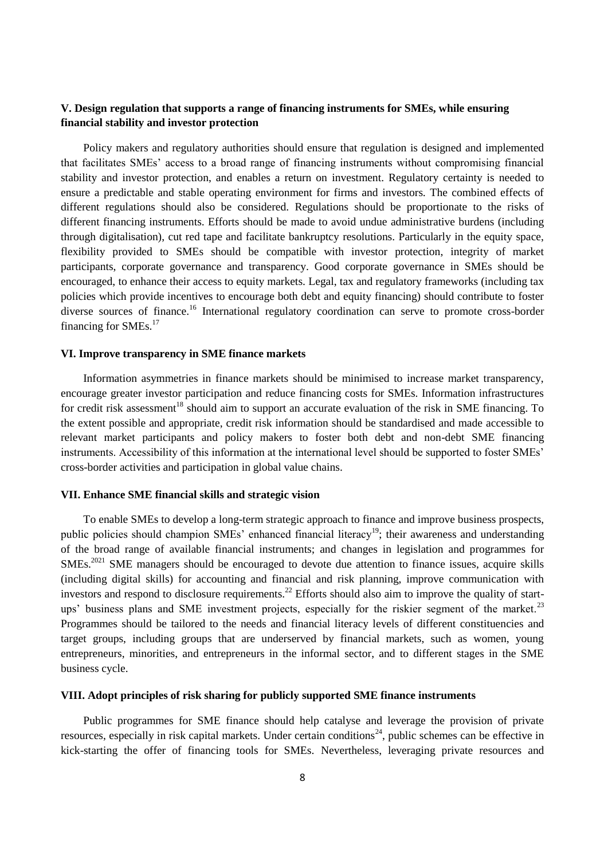## **V. Design regulation that supports a range of financing instruments for SMEs, while ensuring financial stability and investor protection**

Policy makers and regulatory authorities should ensure that regulation is designed and implemented that facilitates SMEs' access to a broad range of financing instruments without compromising financial stability and investor protection, and enables a return on investment. Regulatory certainty is needed to ensure a predictable and stable operating environment for firms and investors. The combined effects of different regulations should also be considered. Regulations should be proportionate to the risks of different financing instruments. Efforts should be made to avoid undue administrative burdens (including through digitalisation), cut red tape and facilitate bankruptcy resolutions. Particularly in the equity space, flexibility provided to SMEs should be compatible with investor protection, integrity of market participants, corporate governance and transparency. Good corporate governance in SMEs should be encouraged, to enhance their access to equity markets. Legal, tax and regulatory frameworks (including tax policies which provide incentives to encourage both debt and equity financing) should contribute to foster diverse sources of finance.<sup>16</sup> International regulatory coordination can serve to promote cross-border financing for SMEs.<sup>17</sup>

### **VI. Improve transparency in SME finance markets**

Information asymmetries in finance markets should be minimised to increase market transparency, encourage greater investor participation and reduce financing costs for SMEs. Information infrastructures for credit risk assessment<sup>18</sup> should aim to support an accurate evaluation of the risk in SME financing. To the extent possible and appropriate, credit risk information should be standardised and made accessible to relevant market participants and policy makers to foster both debt and non-debt SME financing instruments. Accessibility of this information at the international level should be supported to foster SMEs' cross-border activities and participation in global value chains.

#### **VII. Enhance SME financial skills and strategic vision**

To enable SMEs to develop a long-term strategic approach to finance and improve business prospects, public policies should champion SMEs' enhanced financial literacy<sup>19</sup>; their awareness and understanding of the broad range of available financial instruments; and changes in legislation and programmes for SMEs.<sup>2021</sup> SME managers should be encouraged to devote due attention to finance issues, acquire skills (including digital skills) for accounting and financial and risk planning, improve communication with investors and respond to disclosure requirements.<sup>22</sup> Efforts should also aim to improve the quality of startups' business plans and SME investment projects, especially for the riskier segment of the market.<sup>23</sup> Programmes should be tailored to the needs and financial literacy levels of different constituencies and target groups, including groups that are underserved by financial markets, such as women, young entrepreneurs, minorities, and entrepreneurs in the informal sector, and to different stages in the SME business cycle.

### **VIII. Adopt principles of risk sharing for publicly supported SME finance instruments**

Public programmes for SME finance should help catalyse and leverage the provision of private resources, especially in risk capital markets. Under certain conditions<sup>24</sup>, public schemes can be effective in kick-starting the offer of financing tools for SMEs. Nevertheless, leveraging private resources and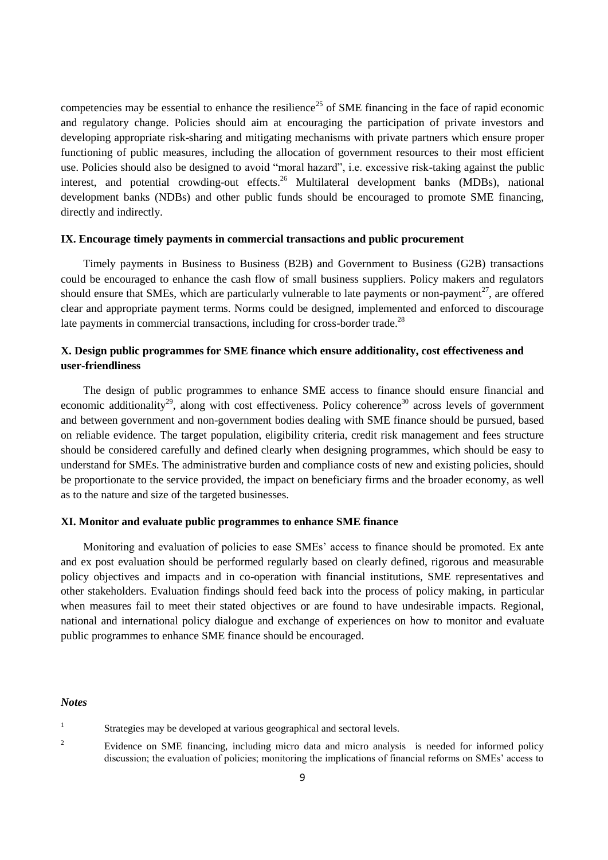competencies may be essential to enhance the resilience<sup>25</sup> of SME financing in the face of rapid economic and regulatory change. Policies should aim at encouraging the participation of private investors and developing appropriate risk-sharing and mitigating mechanisms with private partners which ensure proper functioning of public measures, including the allocation of government resources to their most efficient use. Policies should also be designed to avoid "moral hazard", i.e. excessive risk-taking against the public interest, and potential crowding-out effects. <sup>26</sup> Multilateral development banks (MDBs), national development banks (NDBs) and other public funds should be encouraged to promote SME financing, directly and indirectly.

### **IX. Encourage timely payments in commercial transactions and public procurement**

Timely payments in Business to Business (B2B) and Government to Business (G2B) transactions could be encouraged to enhance the cash flow of small business suppliers. Policy makers and regulators should ensure that SMEs, which are particularly vulnerable to late payments or non-payment<sup>27</sup>, are offered clear and appropriate payment terms. Norms could be designed, implemented and enforced to discourage late payments in commercial transactions, including for cross-border trade.<sup>28</sup>

## **X. Design public programmes for SME finance which ensure additionality, cost effectiveness and user-friendliness**

The design of public programmes to enhance SME access to finance should ensure financial and economic additionality<sup>29</sup>, along with cost effectiveness. Policy coherence<sup>30</sup> across levels of government and between government and non-government bodies dealing with SME finance should be pursued, based on reliable evidence. The target population, eligibility criteria, credit risk management and fees structure should be considered carefully and defined clearly when designing programmes, which should be easy to understand for SMEs. The administrative burden and compliance costs of new and existing policies, should be proportionate to the service provided, the impact on beneficiary firms and the broader economy, as well as to the nature and size of the targeted businesses.

### **XI. Monitor and evaluate public programmes to enhance SME finance**

Monitoring and evaluation of policies to ease SMEs' access to finance should be promoted. Ex ante and ex post evaluation should be performed regularly based on clearly defined, rigorous and measurable policy objectives and impacts and in co-operation with financial institutions, SME representatives and other stakeholders. Evaluation findings should feed back into the process of policy making, in particular when measures fail to meet their stated objectives or are found to have undesirable impacts. Regional, national and international policy dialogue and exchange of experiences on how to monitor and evaluate public programmes to enhance SME finance should be encouraged.

#### *Notes*

<sup>2</sup> Evidence on SME financing, including micro data and micro analysis is needed for informed policy discussion; the evaluation of policies; monitoring the implications of financial reforms on SMEs' access to

<sup>1</sup> Strategies may be developed at various geographical and sectoral levels.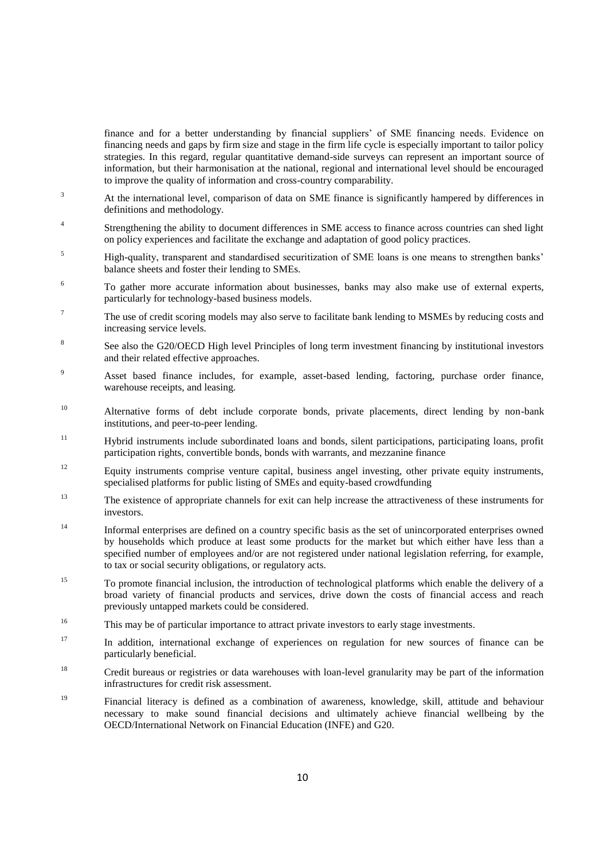finance and for a better understanding by financial suppliers' of SME financing needs. Evidence on financing needs and gaps by firm size and stage in the firm life cycle is especially important to tailor policy strategies. In this regard, regular quantitative demand-side surveys can represent an important source of information, but their harmonisation at the national, regional and international level should be encouraged to improve the quality of information and cross-country comparability.

- <sup>3</sup> At the international level, comparison of data on SME finance is significantly hampered by differences in definitions and methodology.
- 4 Strengthening the ability to document differences in SME access to finance across countries can shed light on policy experiences and facilitate the exchange and adaptation of good policy practices.
- <sup>5</sup> High-quality, transparent and standardised securitization of SME loans is one means to strengthen banks' balance sheets and foster their lending to SMEs.
- 6 To gather more accurate information about businesses, banks may also make use of external experts, particularly for technology-based business models.
- <sup>7</sup> The use of credit scoring models may also serve to facilitate bank lending to MSMEs by reducing costs and increasing service levels.
- 8 See also the G20/OECD High level Principles of long term investment financing by institutional investors and their related effective approaches.
- <sup>9</sup> Asset based finance includes, for example, asset-based lending, factoring, purchase order finance, warehouse receipts, and leasing.
- <sup>10</sup> Alternative forms of debt include corporate bonds, private placements, direct lending by non-bank institutions, and peer-to-peer lending.
- <sup>11</sup> Hybrid instruments include subordinated loans and bonds, silent participations, participating loans, profit participation rights, convertible bonds, bonds with warrants, and mezzanine finance
- <sup>12</sup> Equity instruments comprise venture capital, business angel investing, other private equity instruments, specialised platforms for public listing of SMEs and equity-based crowdfunding
- <sup>13</sup> The existence of appropriate channels for exit can help increase the attractiveness of these instruments for investors.
- <sup>14</sup> Informal enterprises are defined on a country specific basis as the set of unincorporated enterprises owned by households which produce at least some products for the market but which either have less than a specified number of employees and/or are not registered under national legislation referring, for example, to tax or social security obligations, or regulatory acts.
- <sup>15</sup> To promote financial inclusion, the introduction of technological platforms which enable the delivery of a broad variety of financial products and services, drive down the costs of financial access and reach previously untapped markets could be considered.
- <sup>16</sup> This may be of particular importance to attract private investors to early stage investments.
- <sup>17</sup> In addition, international exchange of experiences on regulation for new sources of finance can be particularly beneficial.
- <sup>18</sup> Credit bureaus or registries or data warehouses with loan-level granularity may be part of the information infrastructures for credit risk assessment.
- <sup>19</sup> Financial literacy is defined as a combination of awareness, knowledge, skill, attitude and behaviour necessary to make sound financial decisions and ultimately achieve financial wellbeing by the OECD/International Network on Financial Education (INFE) and G20.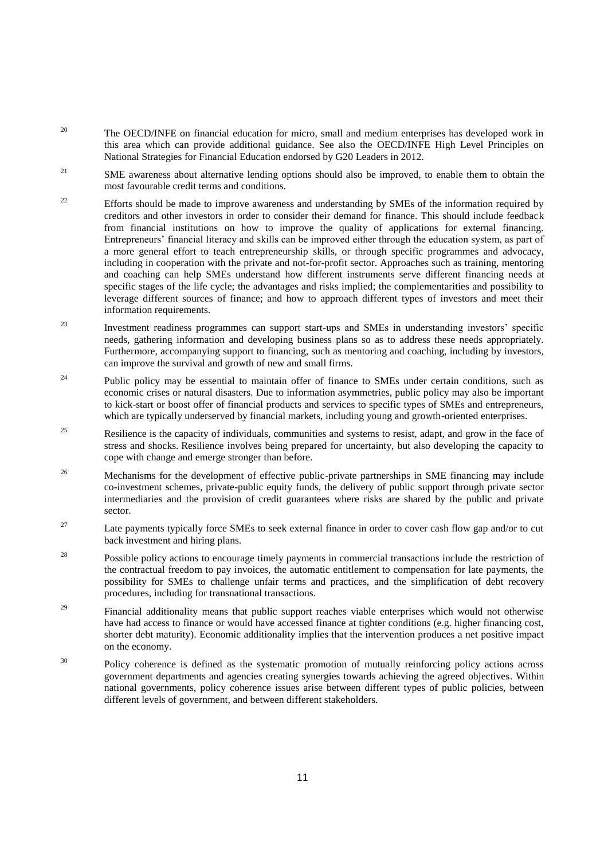- <sup>20</sup> The OECD/INFE on financial education for micro, small and medium enterprises has developed work in this area which can provide additional guidance. See also the OECD/INFE High Level Principles on National Strategies for Financial Education endorsed by G20 Leaders in 2012.
- <sup>21</sup> SME awareness about alternative lending options should also be improved, to enable them to obtain the most favourable credit terms and conditions.
- <sup>22</sup> Efforts should be made to improve awareness and understanding by SMEs of the information required by creditors and other investors in order to consider their demand for finance. This should include feedback from financial institutions on how to improve the quality of applications for external financing. Entrepreneurs' financial literacy and skills can be improved either through the education system, as part of a more general effort to teach entrepreneurship skills, or through specific programmes and advocacy, including in cooperation with the private and not-for-profit sector. Approaches such as training, mentoring and coaching can help SMEs understand how different instruments serve different financing needs at specific stages of the life cycle; the advantages and risks implied; the complementarities and possibility to leverage different sources of finance; and how to approach different types of investors and meet their information requirements.
- <sup>23</sup> Investment readiness programmes can support start-ups and SMEs in understanding investors' specific needs, gathering information and developing business plans so as to address these needs appropriately. Furthermore, accompanying support to financing, such as mentoring and coaching, including by investors, can improve the survival and growth of new and small firms.
- <sup>24</sup> Public policy may be essential to maintain offer of finance to SMEs under certain conditions, such as economic crises or natural disasters. Due to information asymmetries, public policy may also be important to kick-start or boost offer of financial products and services to specific types of SMEs and entrepreneurs, which are typically underserved by financial markets, including young and growth-oriented enterprises.
- <sup>25</sup> Resilience is the capacity of individuals, communities and systems to resist, adapt, and grow in the face of stress and shocks. Resilience involves being prepared for uncertainty, but also developing the capacity to cope with change and emerge stronger than before.
- <sup>26</sup> Mechanisms for the development of effective public-private partnerships in SME financing may include co-investment schemes, private-public equity funds, the delivery of public support through private sector intermediaries and the provision of credit guarantees where risks are shared by the public and private sector.
- <sup>27</sup> Late payments typically force SMEs to seek external finance in order to cover cash flow gap and/or to cut back investment and hiring plans.
- <sup>28</sup> Possible policy actions to encourage timely payments in commercial transactions include the restriction of the contractual freedom to pay invoices, the automatic entitlement to compensation for late payments, the possibility for SMEs to challenge unfair terms and practices, and the simplification of debt recovery procedures, including for transnational transactions.
- <sup>29</sup> Financial additionality means that public support reaches viable enterprises which would not otherwise have had access to finance or would have accessed finance at tighter conditions (e.g. higher financing cost, shorter debt maturity). Economic additionality implies that the intervention produces a net positive impact on the economy.
- <sup>30</sup> Policy coherence is defined as the systematic promotion of mutually reinforcing policy actions across government departments and agencies creating synergies towards achieving the agreed objectives. Within national governments, policy coherence issues arise between different types of public policies, between different levels of government, and between different stakeholders.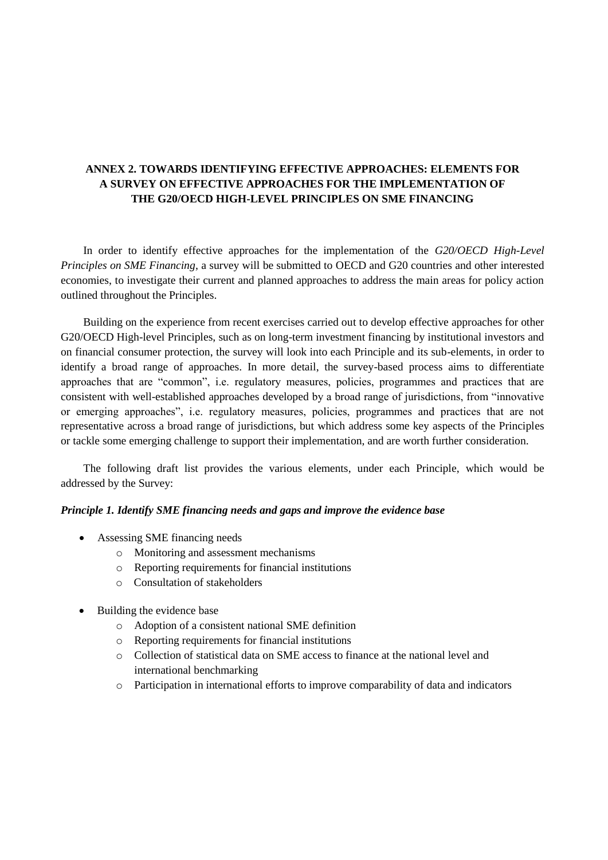# <span id="page-11-0"></span>**ANNEX 2. TOWARDS IDENTIFYING EFFECTIVE APPROACHES: ELEMENTS FOR A SURVEY ON EFFECTIVE APPROACHES FOR THE IMPLEMENTATION OF THE G20/OECD HIGH-LEVEL PRINCIPLES ON SME FINANCING**

In order to identify effective approaches for the implementation of the *G20/OECD High-Level Principles on SME Financing*, a survey will be submitted to OECD and G20 countries and other interested economies, to investigate their current and planned approaches to address the main areas for policy action outlined throughout the Principles.

Building on the experience from recent exercises carried out to develop effective approaches for other G20/OECD High-level Principles, such as on long-term investment financing by institutional investors and on financial consumer protection, the survey will look into each Principle and its sub-elements, in order to identify a broad range of approaches. In more detail, the survey-based process aims to differentiate approaches that are "common", i.e. regulatory measures, policies, programmes and practices that are consistent with well-established approaches developed by a broad range of jurisdictions, from "innovative or emerging approaches", i.e. regulatory measures, policies, programmes and practices that are not representative across a broad range of jurisdictions, but which address some key aspects of the Principles or tackle some emerging challenge to support their implementation, and are worth further consideration.

The following draft list provides the various elements, under each Principle, which would be addressed by the Survey:

## *Principle 1. Identify SME financing needs and gaps and improve the evidence base*

- Assessing SME financing needs
	- o Monitoring and assessment mechanisms
	- o Reporting requirements for financial institutions
	- o Consultation of stakeholders
- Building the evidence base
	- o Adoption of a consistent national SME definition
	- o Reporting requirements for financial institutions
	- o Collection of statistical data on SME access to finance at the national level and international benchmarking
	- o Participation in international efforts to improve comparability of data and indicators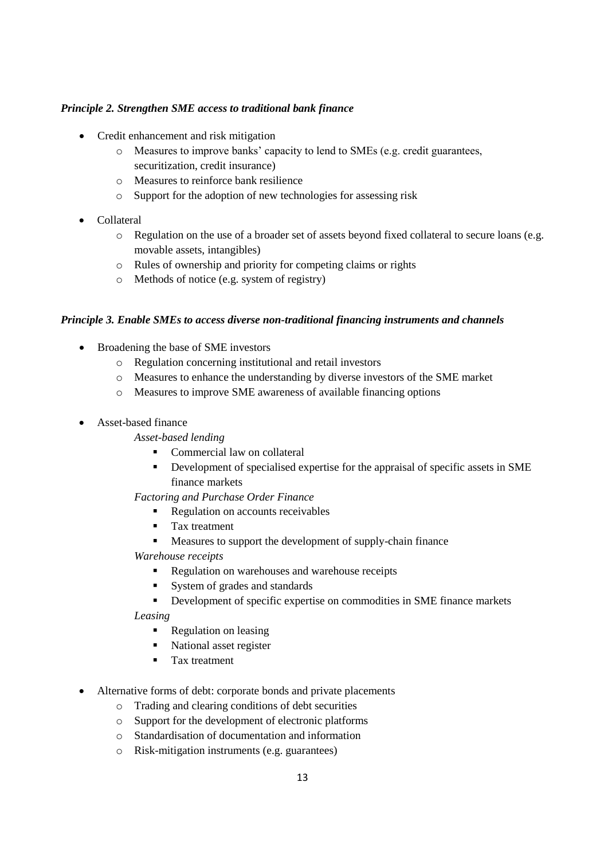## *Principle 2. Strengthen SME access to traditional bank finance*

- Credit enhancement and risk mitigation
	- o Measures to improve banks' capacity to lend to SMEs (e.g. credit guarantees, securitization, credit insurance)
	- o Measures to reinforce bank resilience
	- o Support for the adoption of new technologies for assessing risk
- Collateral
	- o Regulation on the use of a broader set of assets beyond fixed collateral to secure loans (e.g. movable assets, intangibles)
	- o Rules of ownership and priority for competing claims or rights
	- o Methods of notice (e.g. system of registry)

## *Principle 3. Enable SMEs to access diverse non-traditional financing instruments and channels*

- Broadening the base of SME investors
	- o Regulation concerning institutional and retail investors
	- o Measures to enhance the understanding by diverse investors of the SME market
	- o Measures to improve SME awareness of available financing options
- Asset-based finance

## *Asset-based lending*

- Commercial law on collateral
- Development of specialised expertise for the appraisal of specific assets in SME finance markets

## *Factoring and Purchase Order Finance*

- Regulation on accounts receivables
- **Tax treatment**
- Measures to support the development of supply-chain finance
- *Warehouse receipts*
	- Regulation on warehouses and warehouse receipts
	- System of grades and standards
	- Development of specific expertise on commodities in SME finance markets

*Leasing*

- **Regulation on leasing**
- National asset register
- Tax treatment
- Alternative forms of debt: corporate bonds and private placements
	- o Trading and clearing conditions of debt securities
	- o Support for the development of electronic platforms
	- o Standardisation of documentation and information
	- o Risk-mitigation instruments (e.g. guarantees)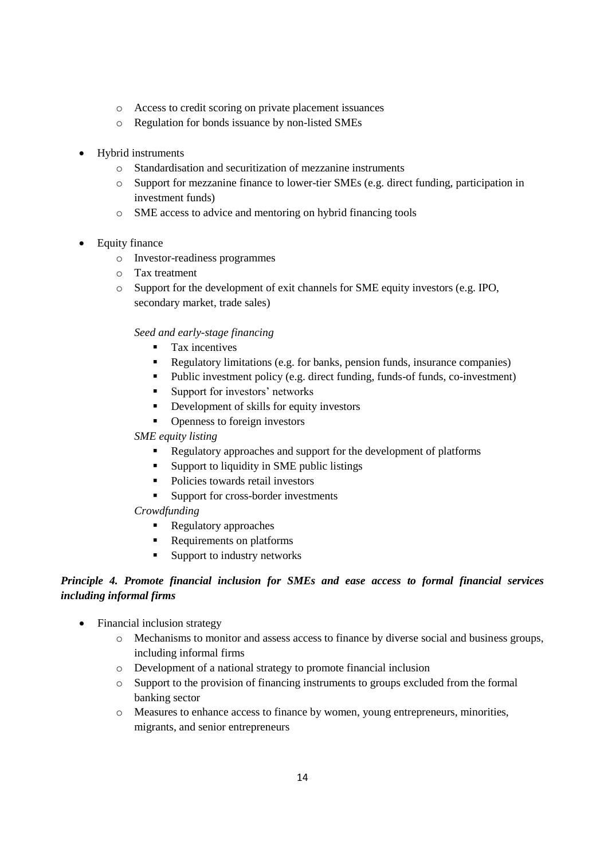- o Access to credit scoring on private placement issuances
- o Regulation for bonds issuance by non-listed SMEs
- Hybrid instruments
	- o Standardisation and securitization of mezzanine instruments
	- o Support for mezzanine finance to lower-tier SMEs (e.g. direct funding, participation in investment funds)
	- o SME access to advice and mentoring on hybrid financing tools
- Equity finance
	- o Investor-readiness programmes
	- o Tax treatment
	- o Support for the development of exit channels for SME equity investors (e.g. IPO, secondary market, trade sales)

## *Seed and early-stage financing*

- **Tax incentives**
- Regulatory limitations (e.g. for banks, pension funds, insurance companies)
- Public investment policy (e.g. direct funding, funds-of funds, co-investment)
- **Support for investors' networks**
- Development of skills for equity investors
- Openness to foreign investors

## *SME equity listing*

- Regulatory approaches and support for the development of platforms
- Support to liquidity in SME public listings
- Policies towards retail investors
- Support for cross-border investments

## *Crowdfunding*

- **Regulatory approaches**
- **Requirements on platforms**
- Support to industry networks

# *Principle 4. Promote financial inclusion for SMEs and ease access to formal financial services including informal firms*

- Financial inclusion strategy
	- o Mechanisms to monitor and assess access to finance by diverse social and business groups, including informal firms
	- o Development of a national strategy to promote financial inclusion
	- o Support to the provision of financing instruments to groups excluded from the formal banking sector
	- o Measures to enhance access to finance by women, young entrepreneurs, minorities, migrants, and senior entrepreneurs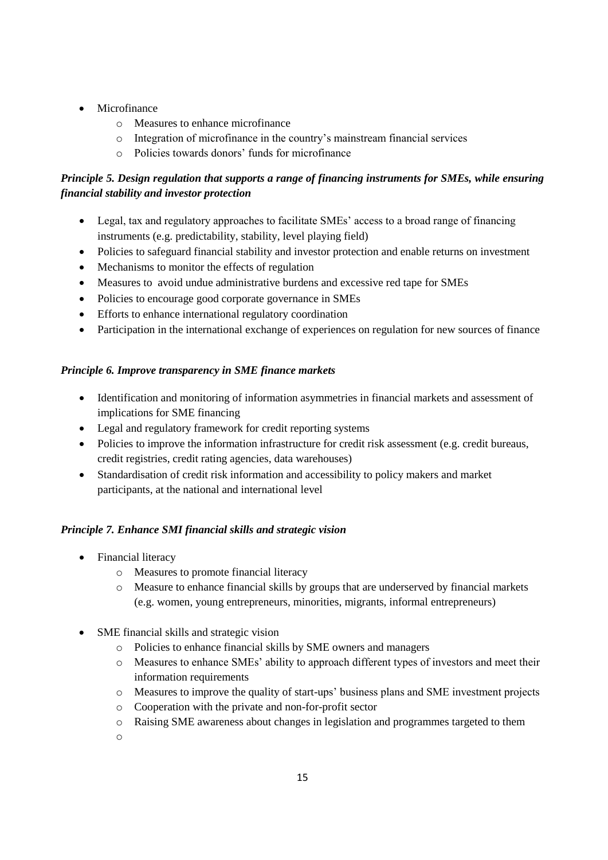- Microfinance
	- o Measures to enhance microfinance
	- o Integration of microfinance in the country's mainstream financial services
	- o Policies towards donors' funds for microfinance

# *Principle 5. Design regulation that supports a range of financing instruments for SMEs, while ensuring financial stability and investor protection*

- Legal, tax and regulatory approaches to facilitate SMEs' access to a broad range of financing instruments (e.g. predictability, stability, level playing field)
- Policies to safeguard financial stability and investor protection and enable returns on investment
- Mechanisms to monitor the effects of regulation
- Measures to avoid undue administrative burdens and excessive red tape for SMEs
- Policies to encourage good corporate governance in SMEs
- Efforts to enhance international regulatory coordination
- Participation in the international exchange of experiences on regulation for new sources of finance

# *Principle 6. Improve transparency in SME finance markets*

- Identification and monitoring of information asymmetries in financial markets and assessment of implications for SME financing
- Legal and regulatory framework for credit reporting systems
- Policies to improve the information infrastructure for credit risk assessment (e.g. credit bureaus, credit registries, credit rating agencies, data warehouses)
- Standardisation of credit risk information and accessibility to policy makers and market participants, at the national and international level

# *Principle 7. Enhance SMI financial skills and strategic vision*

- Financial literacy
	- o Measures to promote financial literacy
	- o Measure to enhance financial skills by groups that are underserved by financial markets (e.g. women, young entrepreneurs, minorities, migrants, informal entrepreneurs)
- SME financial skills and strategic vision
	- o Policies to enhance financial skills by SME owners and managers
	- o Measures to enhance SMEs' ability to approach different types of investors and meet their information requirements
	- o Measures to improve the quality of start-ups' business plans and SME investment projects
	- o Cooperation with the private and non-for-profit sector
	- o Raising SME awareness about changes in legislation and programmes targeted to them
	- o